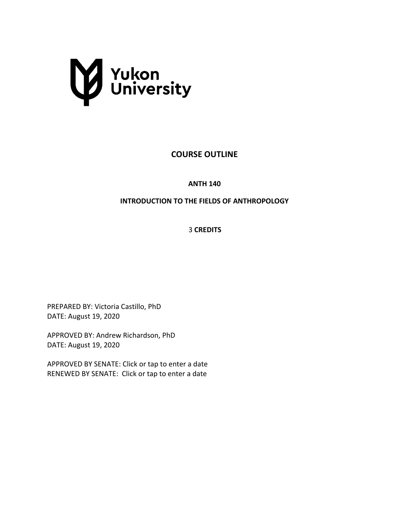

# **COURSE OUTLINE**

**ANTH 140**

## **INTRODUCTION TO THE FIELDS OF ANTHROPOLOGY**

3 **CREDITS**

PREPARED BY: Victoria Castillo, PhD DATE: August 19, 2020

APPROVED BY: Andrew Richardson, PhD DATE: August 19, 2020

APPROVED BY SENATE: Click or tap to enter a date RENEWED BY SENATE: Click or tap to enter a date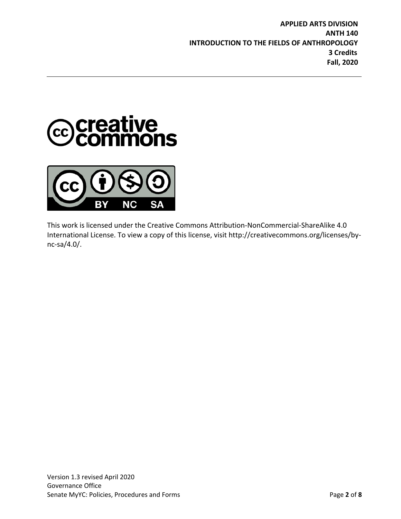



This work is licensed under the Creative Commons Attribution-NonCommercial-ShareAlike 4.0 International License. To view a copy of this license, visit http://creativecommons.org/licenses/bync-sa/4.0/.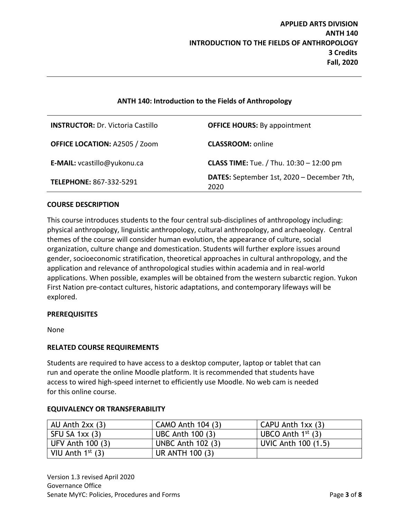## **ANTH 140: Introduction to the Fields of Anthropology**

| <b>INSTRUCTOR: Dr. Victoria Castillo</b> | <b>OFFICE HOURS: By appointment</b>                |
|------------------------------------------|----------------------------------------------------|
| <b>OFFICE LOCATION: A2505 / Zoom</b>     | <b>CLASSROOM: online</b>                           |
| E-MAIL: vcastillo@yukonu.ca              | <b>CLASS TIME:</b> Tue. / Thu. $10:30 - 12:00$ pm  |
| <b>TELEPHONE: 867-332-5291</b>           | DATES: September 1st, 2020 - December 7th,<br>2020 |

#### **COURSE DESCRIPTION**

This course introduces students to the four central sub-disciplines of anthropology including: physical anthropology, linguistic anthropology, cultural anthropology, and archaeology. Central themes of the course will consider human evolution, the appearance of culture, social organization, culture change and domestication. Students will further explore issues around gender, socioeconomic stratification, theoretical approaches in cultural anthropology, and the application and relevance of anthropological studies within academia and in real-world applications. When possible, examples will be obtained from the western subarctic region. Yukon First Nation pre-contact cultures, historic adaptations, and contemporary lifeways will be explored.

#### **PREREQUISITES**

None

### **RELATED COURSE REQUIREMENTS**

Students are required to have access to a desktop computer, laptop or tablet that can run and operate the online Moodle platform. It is recommended that students have access to wired high-speed internet to efficiently use Moodle. No web cam is needed for this online course.

| AU Anth $2xx(3)$   | CAMO Anth 104 (3)        | CAPU Anth $1xx(3)$     |
|--------------------|--------------------------|------------------------|
| SFU SA 1xx (3)     | UBC Anth 100 (3)         | UBCO Anth $1^{st}$ (3) |
| UFV Anth 100 (3)   | <b>UNBC Anth 102 (3)</b> | UVIC Anth 100 (1.5)    |
| VIU Anth $1st$ (3) | UR ANTH 100 (3)          |                        |

### **EQUIVALENCY OR TRANSFERABILITY**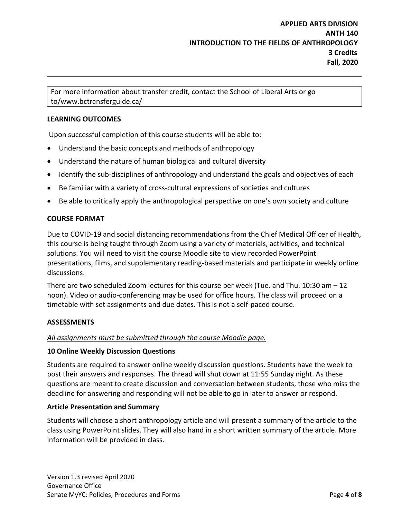For more information about transfer credit, contact the School of Liberal Arts or go to/www.bctransferguide.ca/

### **LEARNING OUTCOMES**

Upon successful completion of this course students will be able to:

- Understand the basic concepts and methods of anthropology
- Understand the nature of human biological and cultural diversity
- Identify the sub-disciplines of anthropology and understand the goals and objectives of each
- Be familiar with a variety of cross-cultural expressions of societies and cultures
- Be able to critically apply the anthropological perspective on one's own society and culture

### **COURSE FORMAT**

Due to COVID-19 and social distancing recommendations from the Chief Medical Officer of Health, this course is being taught through Zoom using a variety of materials, activities, and technical solutions. You will need to visit the course Moodle site to view recorded PowerPoint presentations, films, and supplementary reading-based materials and participate in weekly online discussions.

There are two scheduled Zoom lectures for this course per week (Tue. and Thu. 10:30 am – 12 noon). Video or audio-conferencing may be used for office hours. The class will proceed on a timetable with set assignments and due dates. This is not a self-paced course.

### **ASSESSMENTS**

### *All assignments must be submitted through the course Moodle page.*

#### **10 Online Weekly Discussion Questions**

Students are required to answer online weekly discussion questions. Students have the week to post their answers and responses. The thread will shut down at 11:55 Sunday night. As these questions are meant to create discussion and conversation between students, those who miss the deadline for answering and responding will not be able to go in later to answer or respond.

### **Article Presentation and Summary**

Students will choose a short anthropology article and will present a summary of the article to the class using PowerPoint slides. They will also hand in a short written summary of the article. More information will be provided in class.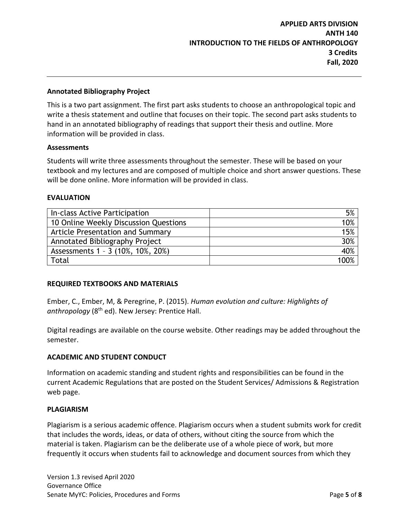### **Annotated Bibliography Project**

This is a two part assignment. The first part asks students to choose an anthropological topic and write a thesis statement and outline that focuses on their topic. The second part asks students to hand in an annotated bibliography of readings that support their thesis and outline. More information will be provided in class.

#### **Assessments**

Students will write three assessments throughout the semester. These will be based on your textbook and my lectures and are composed of multiple choice and short answer questions. These will be done online. More information will be provided in class.

#### **EVALUATION**

| In-class Active Participation         | 5%   |
|---------------------------------------|------|
| 10 Online Weekly Discussion Questions | 10%  |
| Article Presentation and Summary      | 15%  |
| Annotated Bibliography Project        | 30%  |
| Assessments 1 - 3 (10%, 10%, 20%)     | 40%  |
| Total                                 | 100% |

#### **REQUIRED TEXTBOOKS AND MATERIALS**

Ember, C., Ember, M, & Peregrine, P. (2015). *Human evolution and culture: Highlights of*  anthropology (8<sup>th</sup> ed). New Jersey: Prentice Hall.

Digital readings are available on the course website. Other readings may be added throughout the semester.

#### **ACADEMIC AND STUDENT CONDUCT**

Information on academic standing and student rights and responsibilities can be found in the current Academic Regulations that are posted on the Student Services/ Admissions & Registration web page.

#### **PLAGIARISM**

Plagiarism is a serious academic offence. Plagiarism occurs when a student submits work for credit that includes the words, ideas, or data of others, without citing the source from which the material is taken. Plagiarism can be the deliberate use of a whole piece of work, but more frequently it occurs when students fail to acknowledge and document sources from which they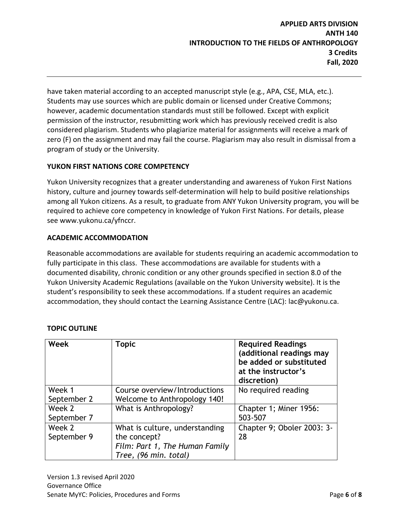have taken material according to an accepted manuscript style (e.g., APA, CSE, MLA, etc.). Students may use sources which are public domain or licensed under Creative Commons; however, academic documentation standards must still be followed. Except with explicit permission of the instructor, resubmitting work which has previously received credit is also considered plagiarism. Students who plagiarize material for assignments will receive a mark of zero (F) on the assignment and may fail the course. Plagiarism may also result in dismissal from a program of study or the University.

## **YUKON FIRST NATIONS CORE COMPETENCY**

Yukon University recognizes that a greater understanding and awareness of Yukon First Nations history, culture and journey towards self-determination will help to build positive relationships among all Yukon citizens. As a result, to graduate from ANY Yukon University program, you will be required to achieve core competency in knowledge of Yukon First Nations. For details, please see www.yukonu.ca/yfnccr.

## **ACADEMIC ACCOMMODATION**

Reasonable accommodations are available for students requiring an academic accommodation to fully participate in this class. These accommodations are available for students with a documented disability, chronic condition or any other grounds specified in section 8.0 of the Yukon University Academic Regulations (available on the Yukon University website). It is the student's responsibility to seek these accommodations. If a student requires an academic accommodation, they should contact the Learning Assistance Centre (LAC): lac@yukonu.ca.

| <b>Week</b>           | <b>Topic</b>                   | <b>Required Readings</b><br>(additional readings may<br>be added or substituted<br>at the instructor's<br>discretion) |
|-----------------------|--------------------------------|-----------------------------------------------------------------------------------------------------------------------|
| Week 1                | Course overview/Introductions  | No required reading                                                                                                   |
| September 2           | Welcome to Anthropology 140!   |                                                                                                                       |
| Week 2<br>September 7 | What is Anthropology?          | Chapter 1; Miner 1956:<br>503-507                                                                                     |
| Week 2                | What is culture, understanding | Chapter 9; Oboler 2003: 3-                                                                                            |
| September 9           | the concept?                   | 28                                                                                                                    |
|                       | Film: Part 1, The Human Family |                                                                                                                       |
|                       | Tree, (96 min. total)          |                                                                                                                       |

## **TOPIC OUTLINE**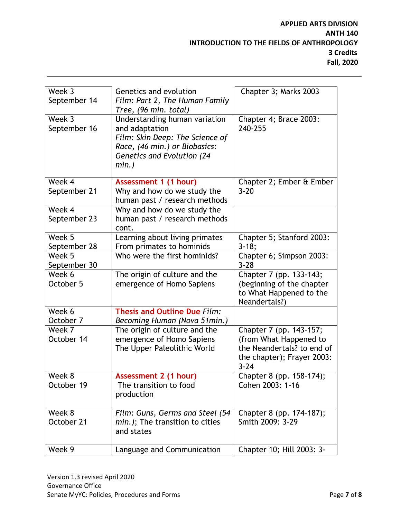# **APPLIED ARTS DIVISION ANTH 140 INTRODUCTION TO THE FIELDS OF ANTHROPOLOGY 3 Credits Fall, 2020**

| Week 3<br>September 14 | Genetics and evolution<br>Film: Part 2, The Human Family<br>Tree, (96 min. total)                                                                                    | Chapter 3; Marks 2003                                                                                                     |
|------------------------|----------------------------------------------------------------------------------------------------------------------------------------------------------------------|---------------------------------------------------------------------------------------------------------------------------|
| Week 3<br>September 16 | Understanding human variation<br>and adaptation<br>Film: Skin Deep: The Science of<br>Race, (46 min.) or Biobasics:<br><b>Genetics and Evolution (24</b><br>$min.$ ) | Chapter 4; Brace 2003:<br>240-255                                                                                         |
| Week 4<br>September 21 | Assessment 1 (1 hour)<br>Why and how do we study the<br>human past / research methods                                                                                | Chapter 2; Ember & Ember<br>$3 - 20$                                                                                      |
| Week 4<br>September 23 | Why and how do we study the<br>human past / research methods<br>cont.                                                                                                |                                                                                                                           |
| Week 5<br>September 28 | Learning about living primates<br>From primates to hominids                                                                                                          | Chapter 5; Stanford 2003:<br>$3 - 18;$                                                                                    |
| Week 5<br>September 30 | Who were the first hominids?                                                                                                                                         | Chapter 6; Simpson 2003:<br>$3 - 28$                                                                                      |
| Week 6<br>October 5    | The origin of culture and the<br>emergence of Homo Sapiens                                                                                                           | Chapter 7 (pp. 133-143;<br>(beginning of the chapter<br>to What Happened to the<br>Neandertals?)                          |
| Week 6<br>October 7    | Thesis and Outline Due Film:<br>Becoming Human (Nova 51min.)                                                                                                         |                                                                                                                           |
| Week 7<br>October 14   | The origin of culture and the<br>emergence of Homo Sapiens<br>The Upper Paleolithic World                                                                            | Chapter 7 (pp. 143-157;<br>(from What Happened to<br>the Neandertals? to end of<br>the chapter); Frayer 2003:<br>$3 - 24$ |
| Week 8<br>October 19   | Assessment 2 (1 hour)<br>The transition to food<br>production                                                                                                        | Chapter 8 (pp. 158-174);<br>Cohen 2003: 1-16                                                                              |
| Week 8<br>October 21   | Film: Guns, Germs and Steel (54<br>min.); The transition to cities<br>and states                                                                                     | Chapter 8 (pp. 174-187);<br>Smith 2009: 3-29                                                                              |
| Week 9                 | Language and Communication                                                                                                                                           | Chapter 10; Hill 2003: 3-                                                                                                 |